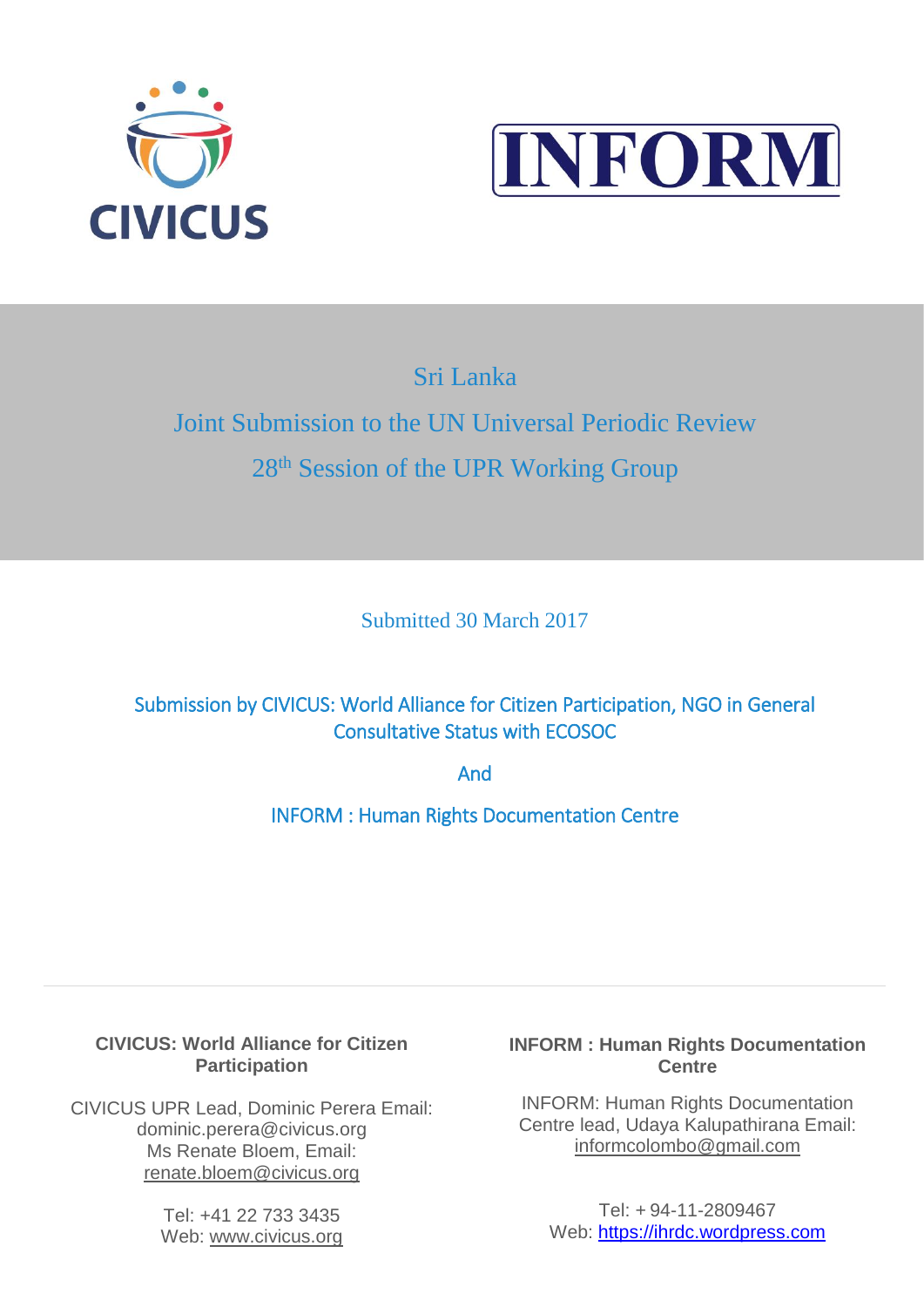



Sri Lanka

j

# Joint Submission to the UN Universal Periodic Review 28<sup>th</sup> Session of the UPR Working Group

Submitted 30 March 2017

Submission by CIVICUS: World Alliance for Citizen Participation, NGO in General Consultative Status with ECOSOC

And

INFORM : Human Rights Documentation Centre

# **CIVICUS: World Alliance for Citizen Participation**

CIVICUS UPR Lead, Dominic Perera Email: dominic.perera@civicus.org Ms Renate Bloem, Email: [renate.bloem@civicus.org](mailto:renate.bloem@civicus.org)

> Tel: +41 22 733 3435 Web: [www.civicus.org](http://www.civicus.org/)

# **INFORM : Human Rights Documentation Centre**

INFORM: Human Rights Documentation Centre lead, Udaya Kalupathirana Email: informcolombo@gmail.com

Tel: + 94-11-2809467 Web: [https://ihrdc.wordpress.com](https://ihrdc.wordpress.com/)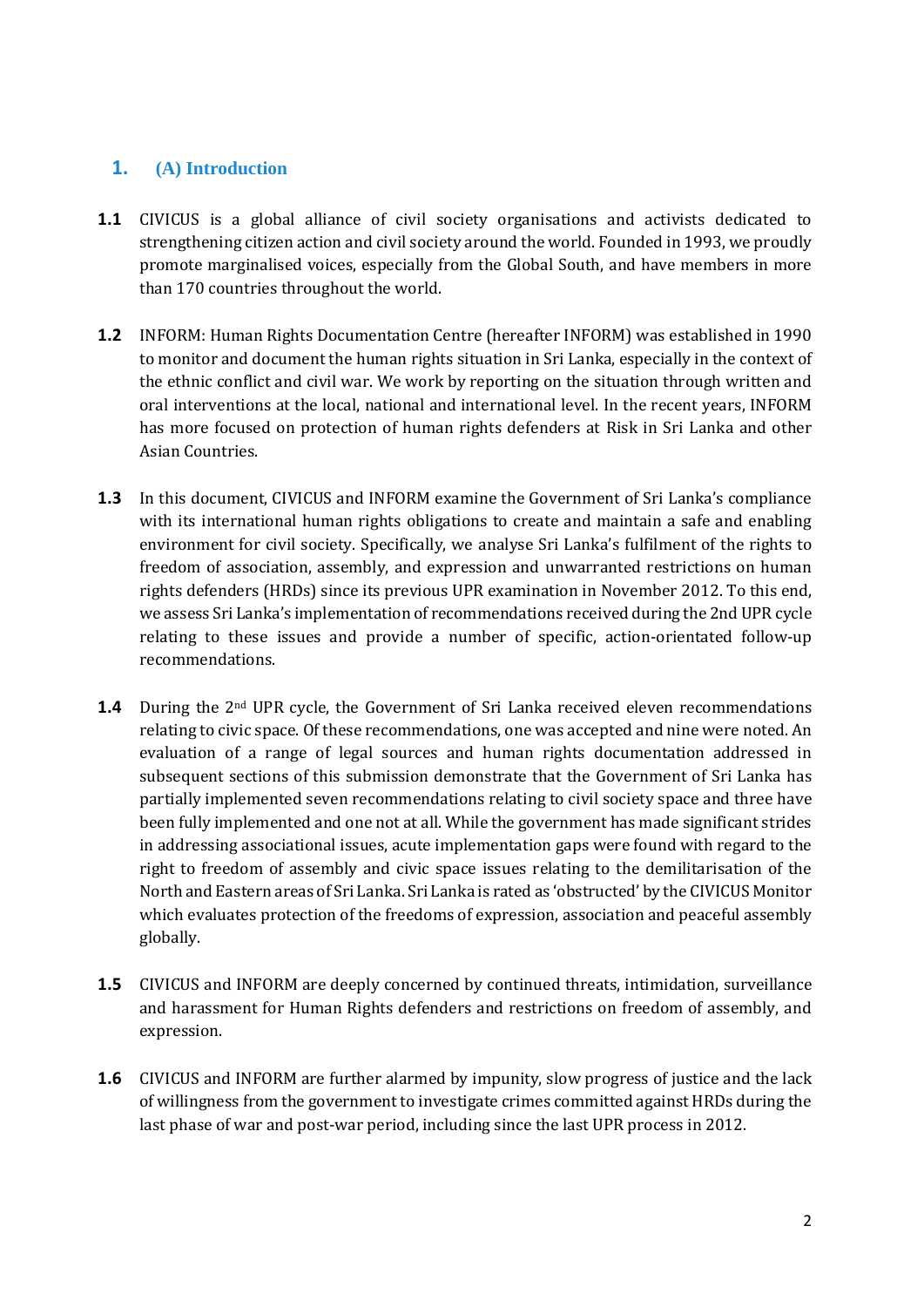## **1. (A) Introduction**

- **1.1** CIVICUS is a global alliance of civil society organisations and activists dedicated to strengthening citizen action and civil society around the world. Founded in 1993, we proudly promote marginalised voices, especially from the Global South, and have members in more than 170 countries throughout the world.
- **1.2** INFORM: Human Rights Documentation Centre (hereafter INFORM) was established in 1990 to monitor and document the human rights situation in Sri Lanka, especially in the context of the ethnic conflict and civil war. We work by reporting on the situation through written and oral interventions at the local, national and international level. In the recent years, INFORM has more focused on protection of human rights defenders at Risk in Sri Lanka and other Asian Countries.
- **1.3** In this document, CIVICUS and INFORM examine the Government of Sri Lanka's compliance with its international human rights obligations to create and maintain a safe and enabling environment for civil society. Specifically, we analyse Sri Lanka's fulfilment of the rights to freedom of association, assembly, and expression and unwarranted restrictions on human rights defenders (HRDs) since its previous UPR examination in November 2012. To this end, we assess Sri Lanka's implementation of recommendations received during the 2nd UPR cycle relating to these issues and provide a number of specific, action-orientated follow-up recommendations.
- **1.4** During the 2<sup>nd</sup> UPR cycle, the Government of Sri Lanka received eleven recommendations relating to civic space. Of these recommendations, one was accepted and nine were noted. An evaluation of a range of legal sources and human rights documentation addressed in subsequent sections of this submission demonstrate that the Government of Sri Lanka has partially implemented seven recommendations relating to civil society space and three have been fully implemented and one not at all. While the government has made significant strides in addressing associational issues, acute implementation gaps were found with regard to the right to freedom of assembly and civic space issues relating to the demilitarisation of the North and Eastern areas of Sri Lanka. Sri Lanka is rated as 'obstructed' by the CIVICUS Monitor which evaluates protection of the freedoms of expression, association and peaceful assembly globally.
- **1.5** CIVICUS and INFORM are deeply concerned by continued threats, intimidation, surveillance and harassment for Human Rights defenders and restrictions on freedom of assembly, and expression.
- **1.6** CIVICUS and INFORM are further alarmed by impunity, slow progress of justice and the lack of willingness from the government to investigate crimes committed against HRDs during the last phase of war and post-war period, including since the last UPR process in 2012.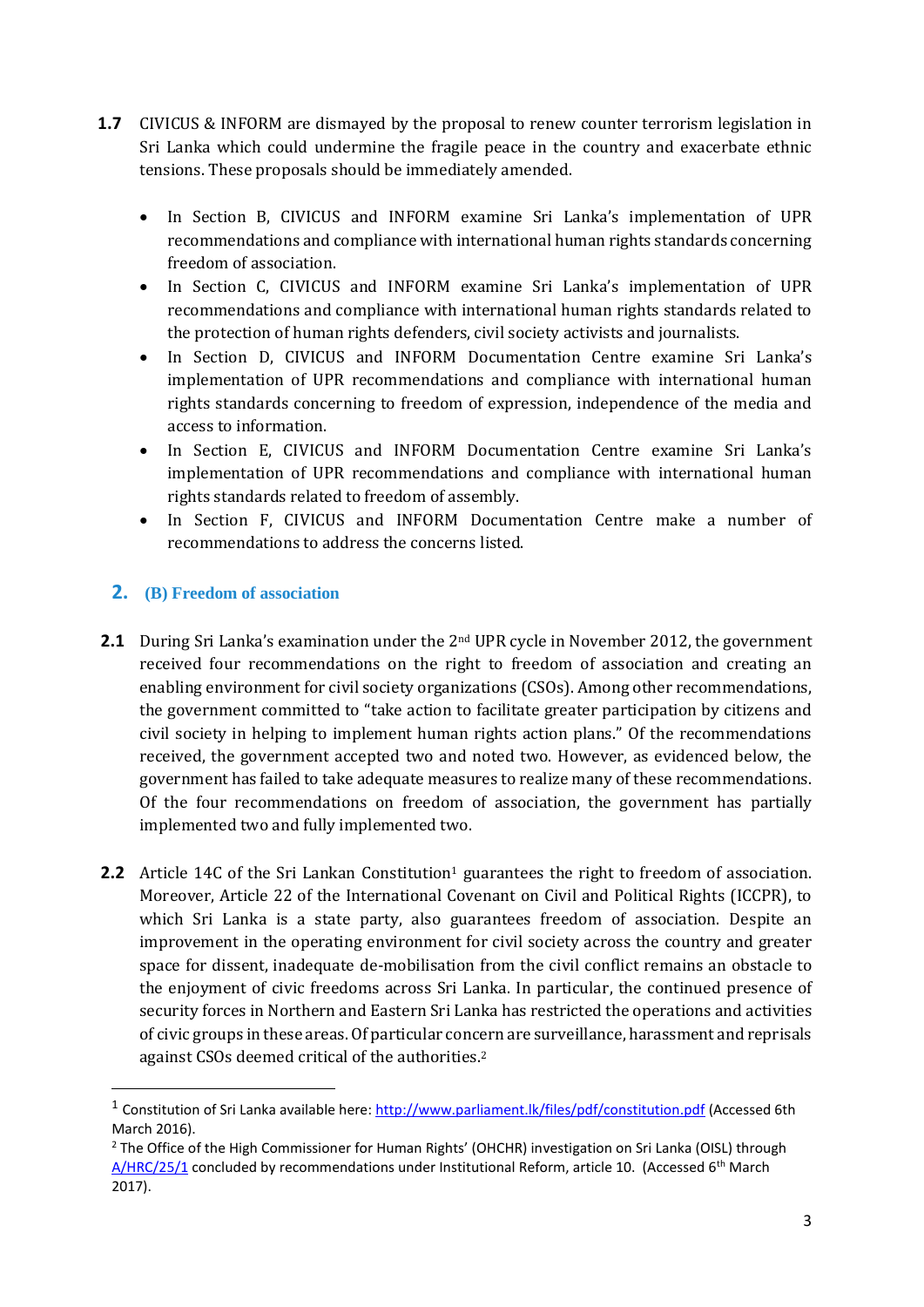- **1.7** CIVICUS & INFORM are dismayed by the proposal to renew counter terrorism legislation in Sri Lanka which could undermine the fragile peace in the country and exacerbate ethnic tensions. These proposals should be immediately amended.
	- In Section B, CIVICUS and INFORM examine Sri Lanka's implementation of UPR recommendations and compliance with international human rights standards concerning freedom of association.
	- In Section C, CIVICUS and INFORM examine Sri Lanka's implementation of UPR recommendations and compliance with international human rights standards related to the protection of human rights defenders, civil society activists and journalists.
	- In Section D, CIVICUS and INFORM Documentation Centre examine Sri Lanka's implementation of UPR recommendations and compliance with international human rights standards concerning to freedom of expression, independence of the media and access to information.
	- In Section E, CIVICUS and INFORM Documentation Centre examine Sri Lanka's implementation of UPR recommendations and compliance with international human rights standards related to freedom of assembly.
	- In Section F, CIVICUS and INFORM Documentation Centre make a number of recommendations to address the concerns listed.

## **2. (B) Freedom of association**

- **2.1** During Sri Lanka's examination under the 2<sup>nd</sup> UPR cycle in November 2012, the government received four recommendations on the right to freedom of association and creating an enabling environment for civil society organizations (CSOs). Among other recommendations, the government committed to "take action to facilitate greater participation by citizens and civil society in helping to implement human rights action plans." Of the recommendations received, the government accepted two and noted two. However, as evidenced below, the government has failed to take adequate measures to realize many of these recommendations. Of the four recommendations on freedom of association, the government has partially implemented two and fully implemented two.
- **2.2** Article 14C of the Sri Lankan Constitution<sup>1</sup> guarantees the right to freedom of association. Moreover, Article 22 of the International Covenant on Civil and Political Rights (ICCPR), to which Sri Lanka is a state party, also guarantees freedom of association. Despite an improvement in the operating environment for civil society across the country and greater space for dissent, inadequate de-mobilisation from the civil conflict remains an obstacle to the enjoyment of civic freedoms across Sri Lanka. In particular, the continued presence of security forces in Northern and Eastern Sri Lanka has restricted the operations and activities of civic groups in these areas. Of particular concern are surveillance, harassment and reprisals against CSOs deemed critical of the authorities. 2

<sup>&</sup>lt;sup>1</sup> Constitution of Sri Lanka available here:<http://www.parliament.lk/files/pdf/constitution.pdf> (Accessed 6th March 2016).

<sup>&</sup>lt;sup>2</sup> The Office of the High Commissioner for Human Rights' (OHCHR) investigation on Sri Lanka (OISL) through [A/HRC/25/1](http://ap.ohchr.org/documents/dpage_e.aspx?si=A/HRC/RES/25/1) concluded by recommendations under Institutional Reform, article 10. (Accessed 6<sup>th</sup> March 2017).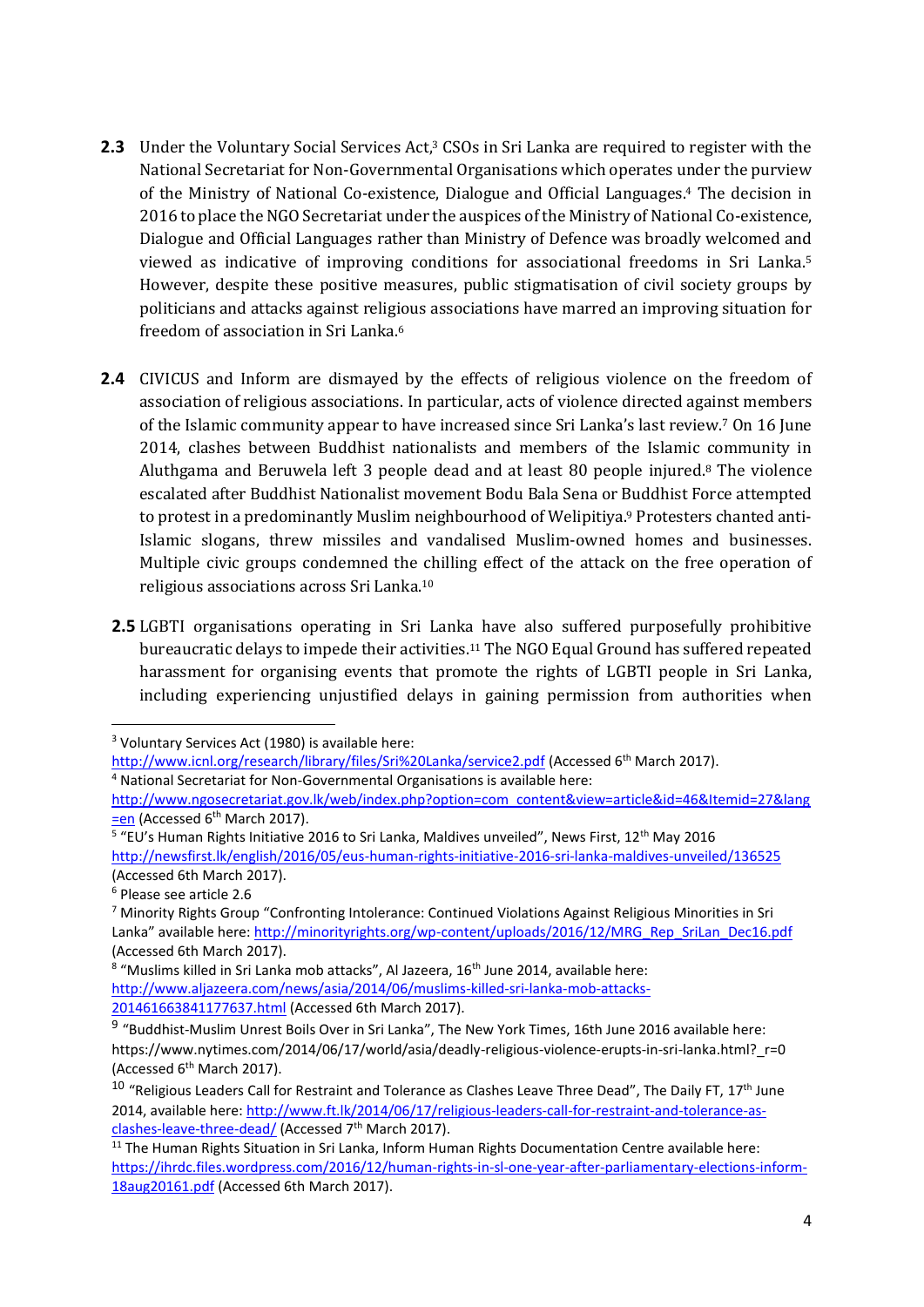- **2.3** Under the Voluntary Social Services Act,<sup>3</sup> CSOs in Sri Lanka are required to register with the National Secretariat for Non-Governmental Organisations which operates under the purview of the Ministry of National Co-existence, Dialogue and Official Languages. <sup>4</sup> The decision in 2016 to place the NGO Secretariat under the auspices of the Ministry of National Co-existence, Dialogue and Official Languages rather than Ministry of Defence was broadly welcomed and viewed as indicative of improving conditions for associational freedoms in Sri Lanka.<sup>5</sup> However, despite these positive measures, public stigmatisation of civil society groups by politicians and attacks against religious associations have marred an improving situation for freedom of association in Sri Lanka.<sup>6</sup>
- **2.4** CIVICUS and Inform are dismayed by the effects of religious violence on the freedom of association of religious associations. In particular, acts of violence directed against members of the Islamic community appear to have increased since Sri Lanka's last review.<sup>7</sup> On 16 June 2014, clashes between Buddhist nationalists and members of the Islamic community in Aluthgama and Beruwela left 3 people dead and at least 80 people injured.<sup>8</sup> The violence escalated after Buddhist Nationalist movement Bodu Bala Sena or Buddhist Force attempted to protest in a predominantly Muslim neighbourhood of Welipitiya.<sup>9</sup> Protesters chanted anti-Islamic slogans, threw missiles and vandalised Muslim-owned homes and businesses. Multiple civic groups condemned the chilling effect of the attack on the free operation of religious associations across Sri Lanka.<sup>10</sup>
	- **2.5** LGBTI organisations operating in Sri Lanka have also suffered purposefully prohibitive bureaucratic delays to impede their activities.<sup>11</sup> The NGO Equal Ground has suffered repeated harassment for organising events that promote the rights of LGBTI people in Sri Lanka, including experiencing unjustified delays in gaining permission from authorities when

**.** 

<sup>3</sup> Voluntary Services Act (1980) is available here:

<http://www.icnl.org/research/library/files/Sri%20Lanka/service2.pdf> (Accessed 6<sup>th</sup> March 2017).

<sup>4</sup> National Secretariat for Non-Governmental Organisations is available here:

[http://www.ngosecretariat.gov.lk/web/index.php?option=com\\_content&view=article&id=46&Itemid=27&lang](http://www.ngosecretariat.gov.lk/web/index.php?option=com_content&view=article&id=46&Itemid=27&lang=en) [=en](http://www.ngosecretariat.gov.lk/web/index.php?option=com_content&view=article&id=46&Itemid=27&lang=en) (Accessed 6<sup>th</sup> March 2017).

<sup>&</sup>lt;sup>5</sup> "EU's Human Rights Initiative 2016 to Sri Lanka, Maldives unveiled", News First, 12<sup>th</sup> May 2016 <http://newsfirst.lk/english/2016/05/eus-human-rights-initiative-2016-sri-lanka-maldives-unveiled/136525> (Accessed 6th March 2017).

<sup>6</sup> Please see article 2.6

<sup>7</sup> Minority Rights Group "Confronting Intolerance: Continued Violations Against Religious Minorities in Sri Lanka" available here: [http://minorityrights.org/wp-content/uploads/2016/12/MRG\\_Rep\\_SriLan\\_Dec16.pdf](http://minorityrights.org/wp-content/uploads/2016/12/MRG_Rep_SriLan_Dec16.pdf) (Accessed 6th March 2017).

<sup>&</sup>lt;sup>8</sup> "Muslims killed in Sri Lanka mob attacks", Al Jazeera, 16<sup>th</sup> June 2014, available here: [http://www.aljazeera.com/news/asia/2014/06/muslims-killed-sri-lanka-mob-attacks-](http://www.aljazeera.com/news/asia/2014/06/muslims-killed-sri-lanka-mob-attacks-201461663841177637.html)[201461663841177637.html](http://www.aljazeera.com/news/asia/2014/06/muslims-killed-sri-lanka-mob-attacks-201461663841177637.html) (Accessed 6th March 2017).

<sup>9</sup> "Buddhist-Muslim Unrest Boils Over in Sri Lanka", The New York Times, 16th June 2016 available here: [https://www.nytimes.com/2014/06/17/world/asia/deadly-religious-violence-erupts-in-sri-lanka.html?\\_r=0](https://www.nytimes.com/2014/06/17/world/asia/deadly-religious-violence-erupts-in-sri-lanka.html?_r=0) (Accessed 6<sup>th</sup> March 2017).

 $10$  "Religious Leaders Call for Restraint and Tolerance as Clashes Leave Three Dead", The Daily FT, 17<sup>th</sup> June 2014, available here: [http://www.ft.lk/2014/06/17/religious-leaders-call-for-restraint-and-tolerance-as](http://www.ft.lk/2014/06/17/religious-leaders-call-for-restraint-and-tolerance-as-clashes-leave-three-dead/)[clashes-leave-three-dead/](http://www.ft.lk/2014/06/17/religious-leaders-call-for-restraint-and-tolerance-as-clashes-leave-three-dead/) (Accessed 7<sup>th</sup> March 2017).

<sup>&</sup>lt;sup>11</sup> The Human Rights Situation in Sri Lanka, Inform Human Rights Documentation Centre available here: [https://ihrdc.files.wordpress.com/2016/12/human-rights-in-sl-one-year-after-parliamentary-elections-inform-](https://ihrdc.files.wordpress.com/2016/12/human-rights-in-sl-one-year-after-parliamentary-elections-inform-18aug20161.pdf)[18aug20161.pdf](https://ihrdc.files.wordpress.com/2016/12/human-rights-in-sl-one-year-after-parliamentary-elections-inform-18aug20161.pdf) (Accessed 6th March 2017).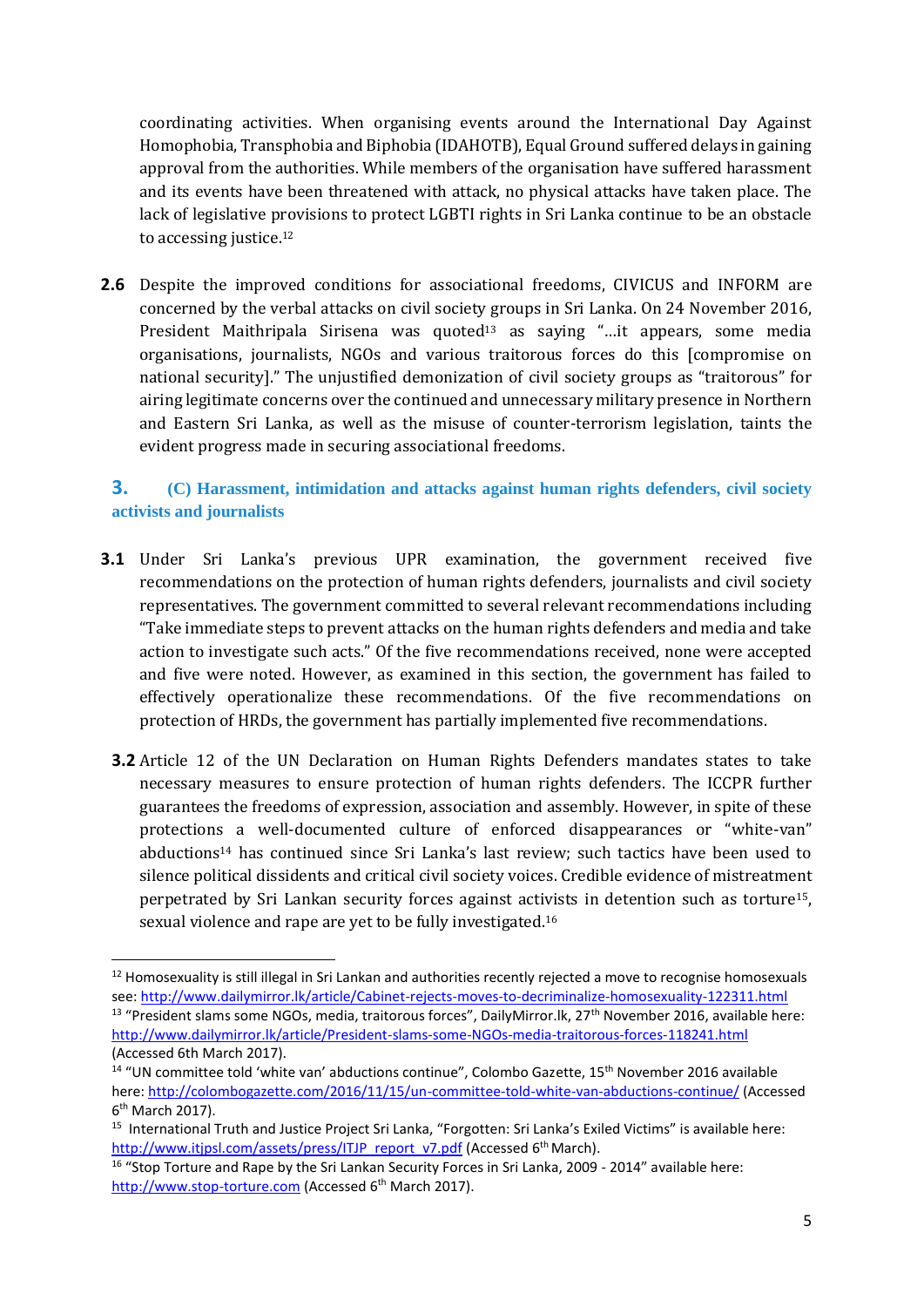coordinating activities. When organising events around the International Day Against Homophobia, Transphobia and Biphobia (IDAHOTB), Equal Ground suffered delays in gaining approval from the authorities. While members of the organisation have suffered harassment and its events have been threatened with attack, no physical attacks have taken place. The lack of legislative provisions to protect LGBTI rights in Sri Lanka continue to be an obstacle to accessing justice.<sup>12</sup>

**2.6** Despite the improved conditions for associational freedoms, CIVICUS and INFORM are concerned by the verbal attacks on civil society groups in Sri Lanka. On 24 November 2016, President Maithripala Sirisena was quoted<sup>13</sup> as saying "...it appears, some media organisations, journalists, NGOs and various traitorous forces do this [compromise on national security]." The unjustified demonization of civil society groups as "traitorous" for airing legitimate concerns over the continued and unnecessary military presence in Northern and Eastern Sri Lanka, as well as the misuse of counter-terrorism legislation, taints the evident progress made in securing associational freedoms.

## **3. (C) Harassment, intimidation and attacks against human rights defenders, civil society activists and journalists**

- **3.1** Under Sri Lanka's previous UPR examination, the government received five recommendations on the protection of human rights defenders, journalists and civil society representatives. The government committed to several relevant recommendations including "Take immediate steps to prevent attacks on the human rights defenders and media and take action to investigate such acts." Of the five recommendations received, none were accepted and five were noted. However, as examined in this section, the government has failed to effectively operationalize these recommendations. Of the five recommendations on protection of HRDs, the government has partially implemented five recommendations.
	- **3.2** Article 12 of the UN Declaration on Human Rights Defenders mandates states to take necessary measures to ensure protection of human rights defenders. The ICCPR further guarantees the freedoms of expression, association and assembly. However, in spite of these protections a well-documented culture of enforced disappearances or "white-van" abductions<sup>14</sup> has continued since Sri Lanka's last review; such tactics have been used to silence political dissidents and critical civil society voices. Credible evidence of mistreatment perpetrated by Sri Lankan security forces against activists in detention such as torture15, sexual violence and rape are yet to be fully investigated.<sup>16</sup>

**.** 

<sup>&</sup>lt;sup>12</sup> Homosexuality is still illegal in Sri Lankan and authorities recently rejected a move to recognise homosexuals see:<http://www.dailymirror.lk/article/Cabinet-rejects-moves-to-decriminalize-homosexuality-122311.html> <sup>13</sup> "President slams some NGOs, media, traitorous forces", DailyMirror.lk, 27<sup>th</sup> November 2016, available here: <http://www.dailymirror.lk/article/President-slams-some-NGOs-media-traitorous-forces-118241.html>

<sup>(</sup>Accessed 6th March 2017).

<sup>&</sup>lt;sup>14</sup> "UN committee told 'white van' abductions continue", Colombo Gazette, 15<sup>th</sup> November 2016 available here[: http://colombogazette.com/2016/11/15/un-committee-told-white-van-abductions-continue/](http://colombogazette.com/2016/11/15/un-committee-told-white-van-abductions-continue/) (Accessed 6<sup>th</sup> March 2017).

<sup>&</sup>lt;sup>15</sup> International Truth and Justice Project Sri Lanka, "Forgotten: Sri Lanka's Exiled Victims" is available here: [http://www.itjpsl.com/assets/press/ITJP\\_report\\_v7.pdf](http://www.itjpsl.com/assets/press/ITJP_report_v7.pdf) (Accessed 6<sup>th</sup> March).

<sup>&</sup>lt;sup>16</sup> "Stop Torture and Rape by the Sri Lankan Security Forces in Sri Lanka, 2009 - 2014" available here: [http://www.stop-torture.com](http://www.stop-torture.com/) (Accessed 6<sup>th</sup> March 2017).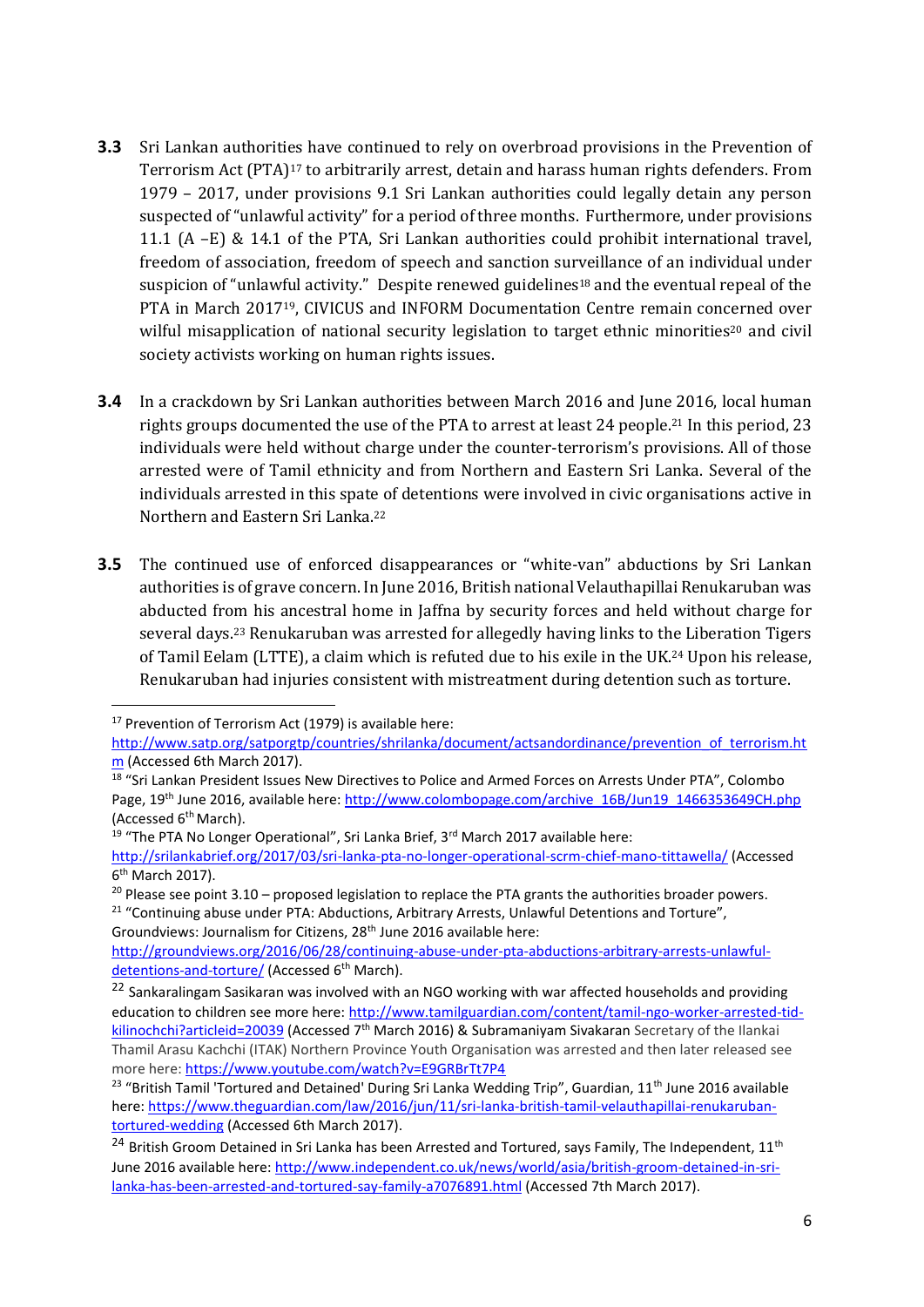- **3.3** Sri Lankan authorities have continued to rely on overbroad provisions in the Prevention of Terrorism Act (PTA)<sup>17</sup> to arbitrarily arrest, detain and harass human rights defenders. From 1979 – 2017, under provisions 9.1 Sri Lankan authorities could legally detain any person suspected of "unlawful activity" for a period of three months. Furthermore, under provisions 11.1 (A –E) & 14.1 of the PTA, Sri Lankan authorities could prohibit international travel, freedom of association, freedom of speech and sanction surveillance of an individual under suspicion of "unlawful activity." Despite renewed guidelines<sup>18</sup> and the eventual repeal of the PTA in March 201719, CIVICUS and INFORM Documentation Centre remain concerned over wilful misapplication of national security legislation to target ethnic minorities<sup>20</sup> and civil society activists working on human rights issues.
- **3.4** In a crackdown by Sri Lankan authorities between March 2016 and June 2016, local human rights groups documented the use of the PTA to arrest at least 24 people.<sup>21</sup> In this period, 23 individuals were held without charge under the counter-terrorism's provisions. All of those arrested were of Tamil ethnicity and from Northern and Eastern Sri Lanka. Several of the individuals arrested in this spate of detentions were involved in civic organisations active in Northern and Eastern Sri Lanka.<sup>22</sup>
- **3.5** The continued use of enforced disappearances or "white-van" abductions by Sri Lankan authorities is of grave concern. In June 2016, British national Velauthapillai Renukaruban was abducted from his ancestral home in Jaffna by security forces and held without charge for several days.<sup>23</sup> Renukaruban was arrested for allegedly having links to the Liberation Tigers of Tamil Eelam (LTTE), a claim which is refuted due to his exile in the UK.<sup>24</sup> Upon his release, Renukaruban had injuries consistent with mistreatment during detention such as torture.

<sup>&</sup>lt;sup>17</sup> Prevention of Terrorism Act (1979) is available here:

[http://www.satp.org/satporgtp/countries/shrilanka/document/actsandordinance/prevention\\_of\\_terrorism.ht](http://www.satp.org/satporgtp/countries/shrilanka/document/actsandordinance/prevention_of_terrorism.htm) [m](http://www.satp.org/satporgtp/countries/shrilanka/document/actsandordinance/prevention_of_terrorism.htm) (Accessed 6th March 2017).

<sup>&</sup>lt;sup>18</sup> "Sri Lankan President Issues New Directives to Police and Armed Forces on Arrests Under PTA", Colombo Page, 19<sup>th</sup> June 2016, available here: [http://www.colombopage.com/archive\\_16B/Jun19\\_1466353649CH.php](http://www.colombopage.com/archive_16B/Jun19_1466353649CH.php) (Accessed 6th March).

<sup>&</sup>lt;sup>19</sup> "The PTA No Longer Operational", Sri Lanka Brief, 3<sup>rd</sup> March 2017 available here:

<http://srilankabrief.org/2017/03/sri-lanka-pta-no-longer-operational-scrm-chief-mano-tittawella/> (Accessed 6<sup>th</sup> March 2017).

 $20$  Please see point 3.10 – proposed legislation to replace the PTA grants the authorities broader powers. <sup>21</sup> "Continuing abuse under PTA: Abductions, Arbitrary Arrests, Unlawful Detentions and Torture", Groundviews: Journalism for Citizens, 28<sup>th</sup> June 2016 available here:

[http://groundviews.org/2016/06/28/continuing-abuse-under-pta-abductions-arbitrary-arrests-unlawful](http://groundviews.org/2016/06/28/continuing-abuse-under-pta-abductions-arbitrary-arrests-unlawful-detentions-and-torture/)[detentions-and-torture/](http://groundviews.org/2016/06/28/continuing-abuse-under-pta-abductions-arbitrary-arrests-unlawful-detentions-and-torture/) (Accessed 6<sup>th</sup> March).

<sup>&</sup>lt;sup>22</sup> Sankaralingam Sasikaran was involved with an NGO working with war affected households and providing education to children see more here: [http://www.tamilguardian.com/content/tamil-ngo-worker-arrested-tid](http://www.tamilguardian.com/content/tamil-ngo-worker-arrested-tid-kilinochchi?articleid=20039)[kilinochchi?articleid=20039](http://www.tamilguardian.com/content/tamil-ngo-worker-arrested-tid-kilinochchi?articleid=20039) (Accessed 7<sup>th</sup> March 2016) & Subramaniyam Sivakaran Secretary of the Ilankai Thamil Arasu Kachchi (ITAK) Northern Province Youth Organisation was arrested and then later released see more here[: https://www.youtube.com/watch?v=E9GRBrTt7P4](https://www.youtube.com/watch?v=E9GRBrTt7P4)

<sup>&</sup>lt;sup>23</sup> "British Tamil 'Tortured and Detained' During Sri Lanka Wedding Trip", Guardian, 11<sup>th</sup> June 2016 available here[: https://www.theguardian.com/law/2016/jun/11/sri-lanka-british-tamil-velauthapillai-renukaruban](https://www.theguardian.com/law/2016/jun/11/sri-lanka-british-tamil-velauthapillai-renukaruban-tortured-wedding)[tortured-wedding](https://www.theguardian.com/law/2016/jun/11/sri-lanka-british-tamil-velauthapillai-renukaruban-tortured-wedding) (Accessed 6th March 2017).

<sup>&</sup>lt;sup>24</sup> British Groom Detained in Sri Lanka has been Arrested and Tortured, says Family, The Independent, 11<sup>th</sup> June 2016 available here: [http://www.independent.co.uk/news/world/asia/british-groom-detained-in-sri](http://www.independent.co.uk/news/world/asia/british-groom-detained-in-sri-lanka-has-been-arrested-and-tortured-say-family-a7076891.html)[lanka-has-been-arrested-and-tortured-say-family-a7076891.html](http://www.independent.co.uk/news/world/asia/british-groom-detained-in-sri-lanka-has-been-arrested-and-tortured-say-family-a7076891.html) (Accessed 7th March 2017).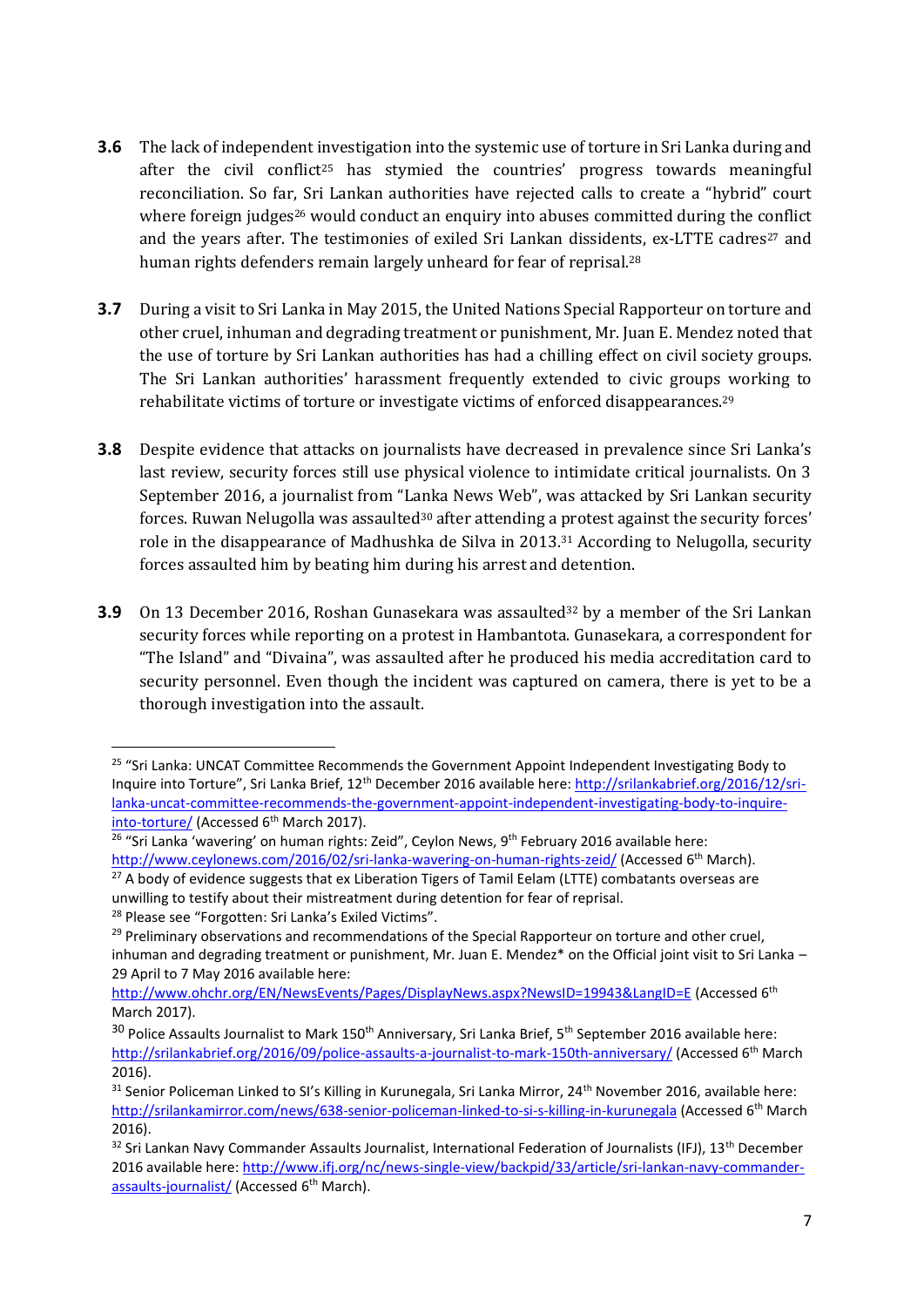- **3.6** The lack of independent investigation into the systemic use of torture in Sri Lanka during and after the civil conflict<sup>25</sup> has stymied the countries' progress towards meaningful reconciliation. So far, Sri Lankan authorities have rejected calls to create a "hybrid" court where foreign judges<sup>26</sup> would conduct an enquiry into abuses committed during the conflict and the years after. The testimonies of exiled Sri Lankan dissidents, ex-LTTE cadres<sup>27</sup> and human rights defenders remain largely unheard for fear of reprisal.<sup>28</sup>
- **3.7** During a visit to Sri Lanka in May 2015, the United Nations Special Rapporteur on torture and other cruel, inhuman and degrading treatment or punishment, Mr. Juan E. Mendez noted that the use of torture by Sri Lankan authorities has had a chilling effect on civil society groups. The Sri Lankan authorities' harassment frequently extended to civic groups working to rehabilitate victims of torture or investigate victims of enforced disappearances.<sup>29</sup>
- **3.8** Despite evidence that attacks on journalists have decreased in prevalence since Sri Lanka's last review, security forces still use physical violence to intimidate critical journalists. On 3 September 2016, a journalist from "Lanka News Web", was attacked by Sri Lankan security forces. Ruwan Nelugolla was assaulted $30$  after attending a protest against the security forces' role in the disappearance of Madhushka de Silva in 2013.<sup>31</sup> According to Nelugolla, security forces assaulted him by beating him during his arrest and detention.
- **3.9** On 13 December 2016, Roshan Gunasekara was assaulted<sup>32</sup> by a member of the Sri Lankan security forces while reporting on a protest in Hambantota. Gunasekara, a correspondent for "The Island" and "Divaina", was assaulted after he produced his media accreditation card to security personnel. Even though the incident was captured on camera, there is yet to be a thorough investigation into the assault.

<sup>&</sup>lt;sup>25</sup> "Sri Lanka: UNCAT Committee Recommends the Government Appoint Independent Investigating Body to Inquire into Torture", Sri Lanka Brief, 12th December 2016 available here[: http://srilankabrief.org/2016/12/sri](http://srilankabrief.org/2016/12/sri-lanka-uncat-committee-recommends-the-government-appoint-independent-investigating-body-to-inquire-into-torture/)[lanka-uncat-committee-recommends-the-government-appoint-independent-investigating-body-to-inquire](http://srilankabrief.org/2016/12/sri-lanka-uncat-committee-recommends-the-government-appoint-independent-investigating-body-to-inquire-into-torture/)[into-torture/](http://srilankabrief.org/2016/12/sri-lanka-uncat-committee-recommends-the-government-appoint-independent-investigating-body-to-inquire-into-torture/) (Accessed 6<sup>th</sup> March 2017).

<sup>&</sup>lt;sup>26</sup> "Sri Lanka 'wavering' on human rights: Zeid", Ceylon News, 9<sup>th</sup> February 2016 available here: <http://www.ceylonews.com/2016/02/sri-lanka-wavering-on-human-rights-zeid/> (Accessed 6<sup>th</sup> March).

 $27$  A body of evidence suggests that ex Liberation Tigers of Tamil Eelam (LTTE) combatants overseas are unwilling to testify about their mistreatment during detention for fear of reprisal. <sup>28</sup> Please see "Forgotten: Sri Lanka's Exiled Victims".

 $29$  Preliminary observations and recommendations of the Special Rapporteur on torture and other cruel, inhuman and degrading treatment or punishment, Mr. Juan E. Mendez\* on the Official joint visit to Sri Lanka – 29 April to 7 May 2016 available here:

<http://www.ohchr.org/EN/NewsEvents/Pages/DisplayNews.aspx?NewsID=19943&LangID=E> (Accessed 6<sup>th</sup> March 2017).

<sup>&</sup>lt;sup>30</sup> Police Assaults Journalist to Mark 150<sup>th</sup> Anniversary, Sri Lanka Brief, 5<sup>th</sup> September 2016 available here: <http://srilankabrief.org/2016/09/police-assaults-a-journalist-to-mark-150th-anniversary/> (Accessed 6th March 2016).

<sup>31</sup> Senior Policeman Linked to SI's Killing in Kurunegala, Sri Lanka Mirror, 24<sup>th</sup> November 2016, available here: <http://srilankamirror.com/news/638-senior-policeman-linked-to-si-s-killing-in-kurunegala> (Accessed 6th March 2016).

<sup>&</sup>lt;sup>32</sup> Sri Lankan Navy Commander Assaults Journalist, International Federation of Journalists (IFJ), 13<sup>th</sup> December 2016 available here[: http://www.ifj.org/nc/news-single-view/backpid/33/article/sri-lankan-navy-commander](http://www.ifj.org/nc/news-single-view/backpid/33/article/sri-lankan-navy-commander-assaults-journalist/)[assaults-journalist/](http://www.ifj.org/nc/news-single-view/backpid/33/article/sri-lankan-navy-commander-assaults-journalist/) (Accessed 6<sup>th</sup> March).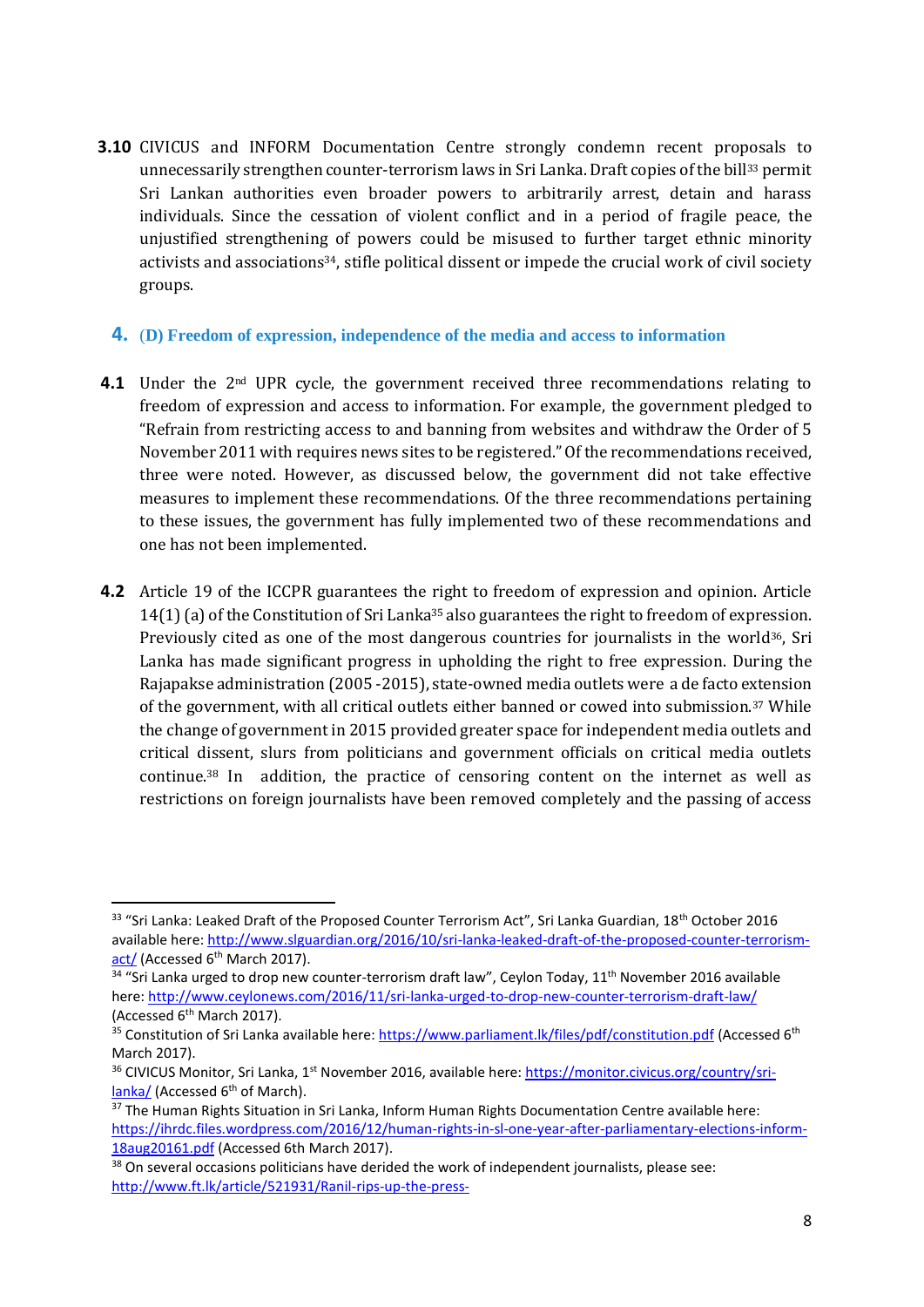**3.10** CIVICUS and INFORM Documentation Centre strongly condemn recent proposals to unnecessarily strengthen counter-terrorism laws in Sri Lanka. Draft copies of the bill<sup>33</sup> permit Sri Lankan authorities even broader powers to arbitrarily arrest, detain and harass individuals. Since the cessation of violent conflict and in a period of fragile peace, the unjustified strengthening of powers could be misused to further target ethnic minority activists and associations34, stifle political dissent or impede the crucial work of civil society groups.

#### **4.** (**D) Freedom of expression, independence of the media and access to information**

- **4.1** Under the 2<sup>nd</sup> UPR cycle, the government received three recommendations relating to freedom of expression and access to information. For example, the government pledged to "Refrain from restricting access to and banning from websites and withdraw the Order of 5 November 2011 with requires news sites to be registered." Of the recommendations received, three were noted. However, as discussed below, the government did not take effective measures to implement these recommendations. Of the three recommendations pertaining to these issues, the government has fully implemented two of these recommendations and one has not been implemented.
- **4.2** Article 19 of the ICCPR guarantees the right to freedom of expression and opinion. Article 14(1) (a) of the Constitution of Sri Lanka<sup>35</sup> also guarantees the right to freedom of expression. Previously cited as one of the most dangerous countries for journalists in the world $36$ , Sri Lanka has made significant progress in upholding the right to free expression. During the Rajapakse administration (2005 -2015), state-owned media outlets were a de facto extension of the government, with all critical outlets either banned or cowed into submission.<sup>37</sup> While the change of government in 2015 provided greater space for independent media outlets and critical dissent, slurs from politicians and government officials on critical media outlets continue.<sup>38</sup> In addition, the practice of censoring content on the internet as well as restrictions on foreign journalists have been removed completely and the passing of access

 $33$  "Sri Lanka: Leaked Draft of the Proposed Counter Terrorism Act", Sri Lanka Guardian,  $18^{th}$  October 2016 available here: [http://www.slguardian.org/2016/10/sri-lanka-leaked-draft-of-the-proposed-counter-terrorism](http://www.slguardian.org/2016/10/sri-lanka-leaked-draft-of-the-proposed-counter-terrorism-act/)[act/](http://www.slguardian.org/2016/10/sri-lanka-leaked-draft-of-the-proposed-counter-terrorism-act/) (Accessed 6<sup>th</sup> March 2017).

<sup>&</sup>lt;sup>34</sup> "Sri Lanka urged to drop new counter-terrorism draft law", Ceylon Today, 11<sup>th</sup> November 2016 available here[: http://www.ceylonews.com/2016/11/sri-lanka-urged-to-drop-new-counter-terrorism-draft-law/](http://www.ceylonews.com/2016/11/sri-lanka-urged-to-drop-new-counter-terrorism-draft-law/) (Accessed 6th March 2017).

<sup>&</sup>lt;sup>35</sup> Constitution of Sri Lanka available here:<https://www.parliament.lk/files/pdf/constitution.pdf> (Accessed 6<sup>th</sup> March 2017).

<sup>&</sup>lt;sup>36</sup> CIVICUS Monitor, Sri Lanka, 1<sup>st</sup> November 2016, available here: [https://monitor.civicus.org/country/sri](https://monitor.civicus.org/country/sri-lanka/)[lanka/](https://monitor.civicus.org/country/sri-lanka/) (Accessed 6<sup>th</sup> of March).

<sup>&</sup>lt;sup>37</sup> The Human Rights Situation in Sri Lanka, Inform Human Rights Documentation Centre available here: [https://ihrdc.files.wordpress.com/2016/12/human-rights-in-sl-one-year-after-parliamentary-elections-inform-](https://ihrdc.files.wordpress.com/2016/12/human-rights-in-sl-one-year-after-parliamentary-elections-inform-18aug20161.pdf)[18aug20161.pdf](https://ihrdc.files.wordpress.com/2016/12/human-rights-in-sl-one-year-after-parliamentary-elections-inform-18aug20161.pdf) (Accessed 6th March 2017).

<sup>&</sup>lt;sup>38</sup> On several occasions politicians have derided the work of independent journalists, please see: <http://www.ft.lk/article/521931/Ranil-rips-up-the-press->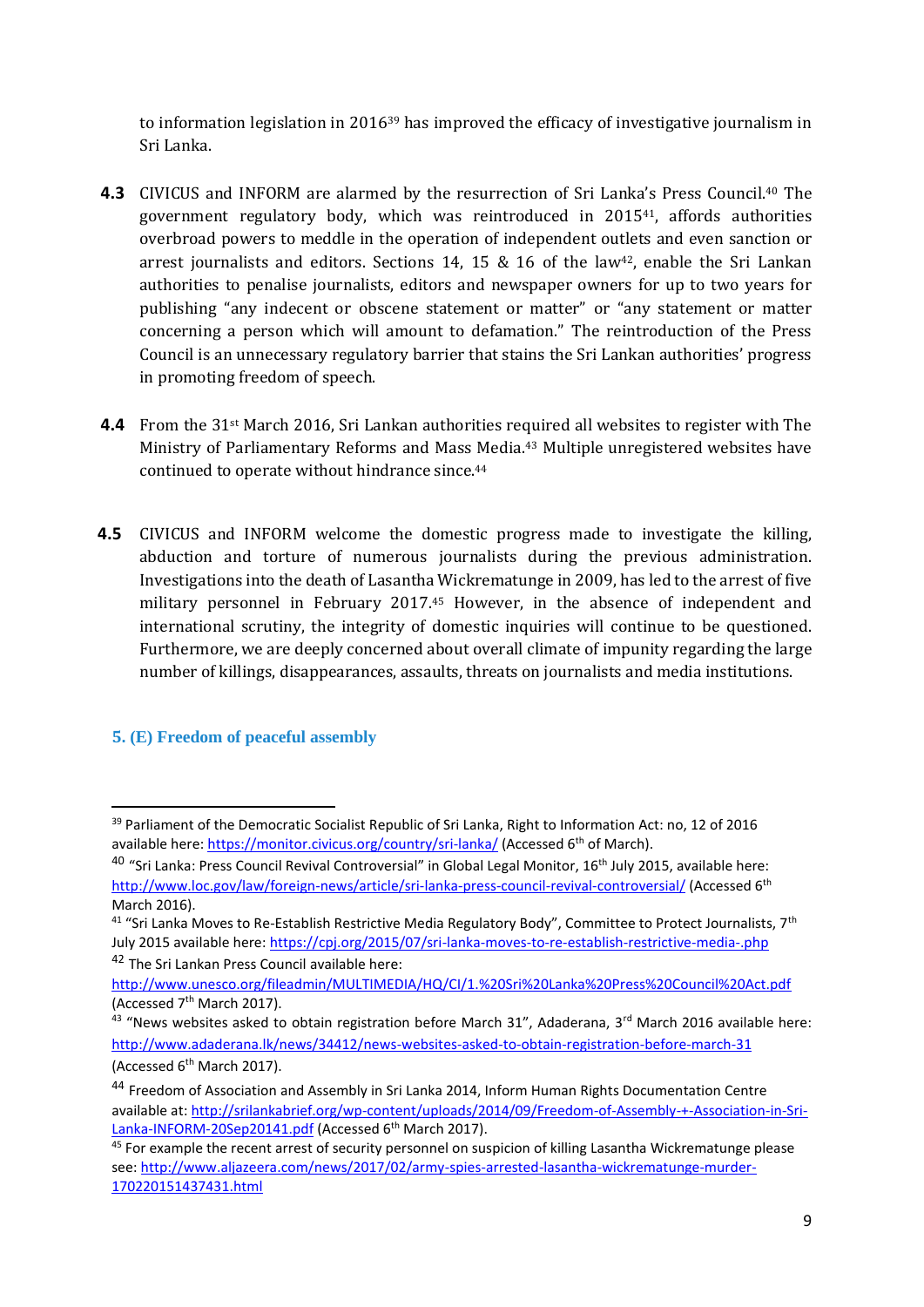to information legislation in  $2016^{39}$  has improved the efficacy of investigative journalism in Sri Lanka.

- **4.3** CIVICUS and INFORM are alarmed by the resurrection of Sri Lanka's Press Council.<sup>40</sup> The government regulatory body, which was reintroduced in 201541, affords authorities overbroad powers to meddle in the operation of independent outlets and even sanction or arrest journalists and editors. Sections 14, 15 & 16 of the law<sup>42</sup>, enable the Sri Lankan authorities to penalise journalists, editors and newspaper owners for up to two years for publishing "any indecent or obscene statement or matter" or "any statement or matter concerning a person which will amount to defamation." The reintroduction of the Press Council is an unnecessary regulatory barrier that stains the Sri Lankan authorities' progress in promoting freedom of speech.
- **4.4** From the 31st March 2016, Sri Lankan authorities required all websites to register with The Ministry of Parliamentary Reforms and Mass Media.<sup>43</sup> Multiple unregistered websites have continued to operate without hindrance since.<sup>44</sup>
- **4.5** CIVICUS and INFORM welcome the domestic progress made to investigate the killing, abduction and torture of numerous journalists during the previous administration. Investigations into the death of Lasantha Wickrematunge in 2009, has led to the arrest of five military personnel in February 2017.<sup>45</sup> However, in the absence of independent and international scrutiny, the integrity of domestic inquiries will continue to be questioned. Furthermore, we are deeply concerned about overall climate of impunity regarding the large number of killings, disappearances, assaults, threats on journalists and media institutions.

#### **5. (E) Freedom of peaceful assembly**

**<sup>.</sup>** <sup>39</sup> Parliament of the Democratic Socialist Republic of Sri Lanka, Right to Information Act: no, 12 of 2016 available here:<https://monitor.civicus.org/country/sri-lanka/> (Accessed 6<sup>th</sup> of March).

<sup>&</sup>lt;sup>40</sup> "Sri Lanka: Press Council Revival Controversial" in Global Legal Monitor, 16<sup>th</sup> July 2015, available here: <http://www.loc.gov/law/foreign-news/article/sri-lanka-press-council-revival-controversial/> (Accessed 6<sup>th</sup> March 2016).

<sup>&</sup>lt;sup>41</sup> "Sri Lanka Moves to Re-Establish Restrictive Media Regulatory Body", Committee to Protect Journalists, 7<sup>th</sup> July 2015 available here:<https://cpj.org/2015/07/sri-lanka-moves-to-re-establish-restrictive-media-.php> <sup>42</sup> The Sri Lankan Press Council available here:

<http://www.unesco.org/fileadmin/MULTIMEDIA/HQ/CI/1.%20Sri%20Lanka%20Press%20Council%20Act.pdf> (Accessed 7th March 2017).

<sup>&</sup>lt;sup>43</sup> "News websites asked to obtain registration before March 31", Adaderana, 3<sup>rd</sup> March 2016 available here: <http://www.adaderana.lk/news/34412/news-websites-asked-to-obtain-registration-before-march-31> (Accessed 6th March 2017).

<sup>44</sup> Freedom of Association and Assembly in Sri Lanka 2014, Inform Human Rights Documentation Centre available at: [http://srilankabrief.org/wp-content/uploads/2014/09/Freedom-of-Assembly-+-Association-in-Sri-](http://srilankabrief.org/wp-content/uploads/2014/09/Freedom-of-Assembly-+-Association-in-Sri-Lanka-INFORM-20Sep20141.pdf)[Lanka-INFORM-20Sep20141.pdf](http://srilankabrief.org/wp-content/uploads/2014/09/Freedom-of-Assembly-+-Association-in-Sri-Lanka-INFORM-20Sep20141.pdf) (Accessed 6<sup>th</sup> March 2017).

<sup>&</sup>lt;sup>45</sup> For example the recent arrest of security personnel on suspicion of killing Lasantha Wickrematunge please see: [http://www.aljazeera.com/news/2017/02/army-spies-arrested-lasantha-wickrematunge-murder-](http://www.aljazeera.com/news/2017/02/army-spies-arrested-lasantha-wickrematunge-murder-170220151437431.html)[170220151437431.html](http://www.aljazeera.com/news/2017/02/army-spies-arrested-lasantha-wickrematunge-murder-170220151437431.html)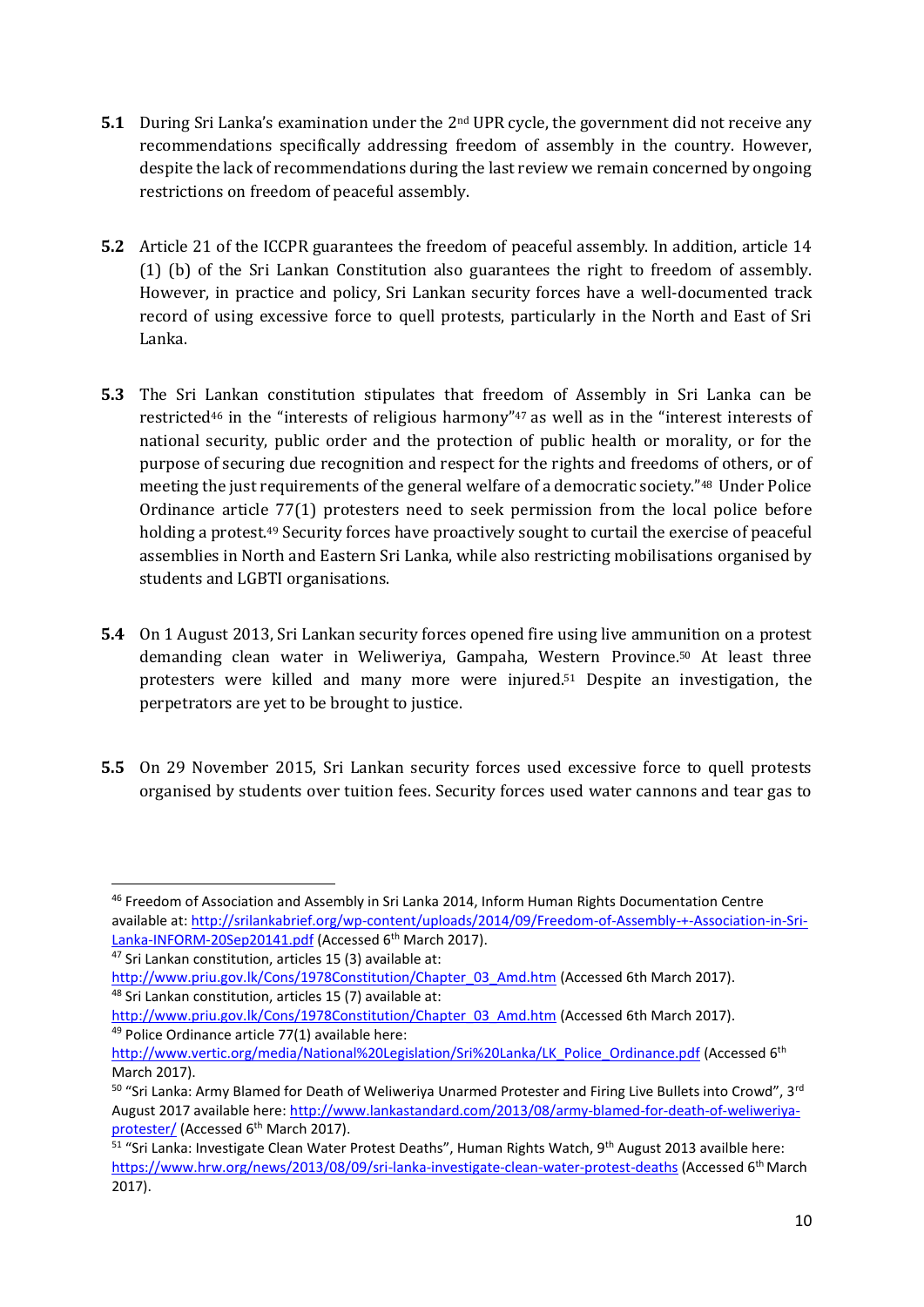- **5.1** During Sri Lanka's examination under the 2<sup>nd</sup> UPR cycle, the government did not receive any recommendations specifically addressing freedom of assembly in the country. However, despite the lack of recommendations during the last review we remain concerned by ongoing restrictions on freedom of peaceful assembly.
- **5.2** Article 21 of the ICCPR guarantees the freedom of peaceful assembly. In addition, article 14 (1) (b) of the Sri Lankan Constitution also guarantees the right to freedom of assembly. However, in practice and policy, Sri Lankan security forces have a well-documented track record of using excessive force to quell protests, particularly in the North and East of Sri Lanka.
- **5.3** The Sri Lankan constitution stipulates that freedom of Assembly in Sri Lanka can be restricted<sup>46</sup> in the "interests of religious harmony"<sup>47</sup> as well as in the "interest interests of national security, public order and the protection of public health or morality, or for the purpose of securing due recognition and respect for the rights and freedoms of others, or of meeting the just requirements of the general welfare of a democratic society."<sup>48</sup> Under Police Ordinance article 77(1) protesters need to seek permission from the local police before holding a protest.<sup>49</sup> Security forces have proactively sought to curtail the exercise of peaceful assemblies in North and Eastern Sri Lanka, while also restricting mobilisations organised by students and LGBTI organisations.
- **5.4** On 1 August 2013, Sri Lankan security forces opened fire using live ammunition on a protest demanding clean water in Weliweriya, Gampaha, Western Province. <sup>50</sup> At least three protesters were killed and many more were injured.<sup>51</sup> Despite an investigation, the perpetrators are yet to be brought to justice.
- **5.5** On 29 November 2015, Sri Lankan security forces used excessive force to quell protests organised by students over tuition fees. Security forces used water cannons and tear gas to

 $\overline{a}$ 

<sup>46</sup> Freedom of Association and Assembly in Sri Lanka 2014, Inform Human Rights Documentation Centre available at: [http://srilankabrief.org/wp-content/uploads/2014/09/Freedom-of-Assembly-+-Association-in-Sri-](http://srilankabrief.org/wp-content/uploads/2014/09/Freedom-of-Assembly-+-Association-in-Sri-Lanka-INFORM-20Sep20141.pdf)[Lanka-INFORM-20Sep20141.pdf](http://srilankabrief.org/wp-content/uploads/2014/09/Freedom-of-Assembly-+-Association-in-Sri-Lanka-INFORM-20Sep20141.pdf) (Accessed 6<sup>th</sup> March 2017).

<sup>47</sup> Sri Lankan constitution, articles 15 (3) available at:

[http://www.priu.gov.lk/Cons/1978Constitution/Chapter\\_03\\_Amd.htm](http://www.priu.gov.lk/Cons/1978Constitution/Chapter_03_Amd.htm) (Accessed 6th March 2017). <sup>48</sup> Sri Lankan constitution, articles 15 (7) available at:

[http://www.priu.gov.lk/Cons/1978Constitution/Chapter\\_03\\_Amd.htm](http://www.priu.gov.lk/Cons/1978Constitution/Chapter_03_Amd.htm) (Accessed 6th March 2017). <sup>49</sup> Police Ordinance article 77(1) available here:

[http://www.vertic.org/media/National%20Legislation/Sri%20Lanka/LK\\_Police\\_Ordinance.pdf](http://www.vertic.org/media/National%20Legislation/Sri%20Lanka/LK_Police_Ordinance.pdf) (Accessed 6<sup>th</sup> March 2017).

<sup>&</sup>lt;sup>50</sup> "Sri Lanka: Army Blamed for Death of Weliweriya Unarmed Protester and Firing Live Bullets into Crowd", 3<sup>rd</sup> August 2017 available here: [http://www.lankastandard.com/2013/08/army-blamed-for-death-of-weliweriya](http://www.lankastandard.com/2013/08/army-blamed-for-death-of-weliweriya-protester/)[protester/](http://www.lankastandard.com/2013/08/army-blamed-for-death-of-weliweriya-protester/) (Accessed 6<sup>th</sup> March 2017).

<sup>&</sup>lt;sup>51</sup> "Sri Lanka: Investigate Clean Water Protest Deaths", Human Rights Watch, 9<sup>th</sup> August 2013 availble here: <https://www.hrw.org/news/2013/08/09/sri-lanka-investigate-clean-water-protest-deaths> (Accessed 6th March 2017).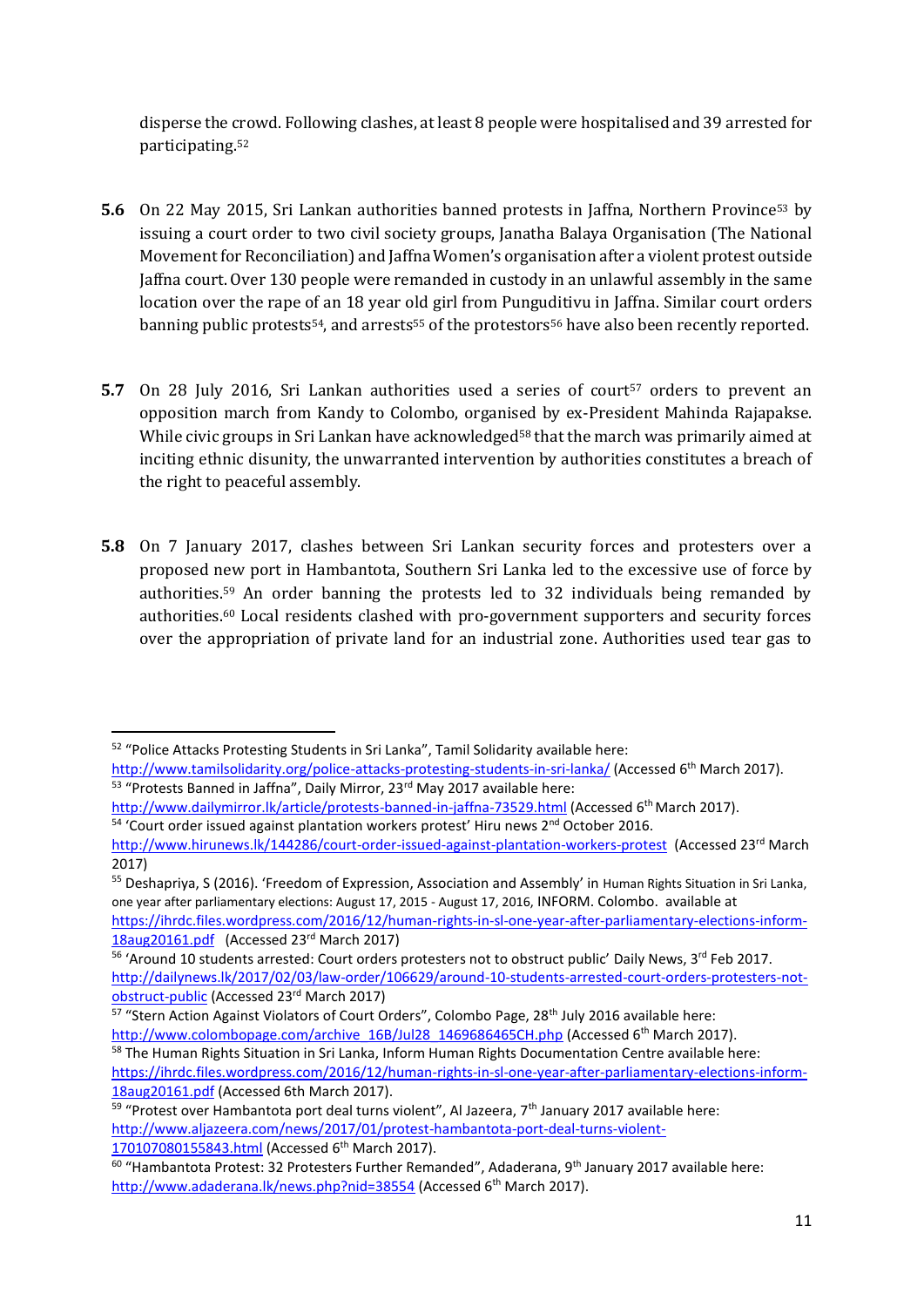disperse the crowd. Following clashes, at least 8 people were hospitalised and 39 arrested for participating.<sup>52</sup>

- **5.6** On 22 May 2015, Sri Lankan authorities banned protests in Jaffna, Northern Province<sup>53</sup> by issuing a court order to two civil society groups, Janatha Balaya Organisation (The National Movement for Reconciliation) and Jaffna Women's organisation after a violent protest outside Jaffna court. Over 130 people were remanded in custody in an unlawful assembly in the same location over the rape of an 18 year old girl from Punguditivu in Jaffna. Similar court orders banning public protests<sup>54</sup>, and arrests<sup>55</sup> of the protestors<sup>56</sup> have also been recently reported.
- **5.7** On 28 July 2016, Sri Lankan authorities used a series of court<sup>57</sup> orders to prevent an opposition march from Kandy to Colombo, organised by ex-President Mahinda Rajapakse. While civic groups in Sri Lankan have acknowledged<sup>58</sup> that the march was primarily aimed at inciting ethnic disunity, the unwarranted intervention by authorities constitutes a breach of the right to peaceful assembly.
- **5.8** On 7 January 2017, clashes between Sri Lankan security forces and protesters over a proposed new port in Hambantota, Southern Sri Lanka led to the excessive use of force by authorities.<sup>59</sup> An order banning the protests led to 32 individuals being remanded by authorities. <sup>60</sup> Local residents clashed with pro-government supporters and security forces over the appropriation of private land for an industrial zone. Authorities used tear gas to

[https://ihrdc.files.wordpress.com/2016/12/human-rights-in-sl-one-year-after-parliamentary-elections-inform-](https://ihrdc.files.wordpress.com/2016/12/human-rights-in-sl-one-year-after-parliamentary-elections-inform-18aug20161.pdf)[18aug20161.pdf](https://ihrdc.files.wordpress.com/2016/12/human-rights-in-sl-one-year-after-parliamentary-elections-inform-18aug20161.pdf) (Accessed 23<sup>rd</sup> March 2017)

**<sup>.</sup>** <sup>52</sup> "Police Attacks Protesting Students in Sri Lanka", Tamil Solidarity available here:

<http://www.tamilsolidarity.org/police-attacks-protesting-students-in-sri-lanka/> (Accessed 6th March 2017). <sup>53</sup> "Protests Banned in Jaffna", Daily Mirror, 23<sup>rd</sup> May 2017 available here:

<http://www.dailymirror.lk/article/protests-banned-in-jaffna-73529.html> (Accessed 6<sup>th</sup> March 2017).

<sup>&</sup>lt;sup>54</sup> 'Court order issued against plantation workers protest' Hiru news 2<sup>nd</sup> October 2016.

<http://www.hirunews.lk/144286/court-order-issued-against-plantation-workers-protest>(Accessed 23rd March 2017)

<sup>55</sup> Deshapriya, S (2016). 'Freedom of Expression, Association and Assembly' in Human Rights Situation in Sri Lanka, one year after parliamentary elections: August 17, 2015 - August 17, 2016, INFORM. Colombo. available at

<sup>&</sup>lt;sup>56</sup> 'Around 10 students arrested: Court orders protesters not to obstruct public' Daily News, 3<sup>rd</sup> Feb 2017. [http://dailynews.lk/2017/02/03/law-order/106629/around-10-students-arrested-court-orders-protesters-not](http://dailynews.lk/2017/02/03/law-order/106629/around-10-students-arrested-court-orders-protesters-not-obstruct-public)[obstruct-public](http://dailynews.lk/2017/02/03/law-order/106629/around-10-students-arrested-court-orders-protesters-not-obstruct-public) (Accessed 23rd March 2017)

<sup>57 &</sup>quot;Stern Action Against Violators of Court Orders", Colombo Page, 28<sup>th</sup> July 2016 available here: [http://www.colombopage.com/archive\\_16B/Jul28\\_1469686465CH.php](http://www.colombopage.com/archive_16B/Jul28_1469686465CH.php) (Accessed 6<sup>th</sup> March 2017).

<sup>58</sup> The Human Rights Situation in Sri Lanka, Inform Human Rights Documentation Centre available here: [https://ihrdc.files.wordpress.com/2016/12/human-rights-in-sl-one-year-after-parliamentary-elections-inform-](https://ihrdc.files.wordpress.com/2016/12/human-rights-in-sl-one-year-after-parliamentary-elections-inform-18aug20161.pdf)[18aug20161.pdf](https://ihrdc.files.wordpress.com/2016/12/human-rights-in-sl-one-year-after-parliamentary-elections-inform-18aug20161.pdf) (Accessed 6th March 2017).

<sup>&</sup>lt;sup>59</sup> "Protest over Hambantota port deal turns violent", Al Jazeera, 7<sup>th</sup> January 2017 available here: [http://www.aljazeera.com/news/2017/01/protest-hambantota-port-deal-turns-violent-](http://www.aljazeera.com/news/2017/01/protest-hambantota-port-deal-turns-violent-170107080155843.html)[170107080155843.html](http://www.aljazeera.com/news/2017/01/protest-hambantota-port-deal-turns-violent-170107080155843.html) (Accessed 6th March 2017).

<sup>&</sup>lt;sup>60</sup> "Hambantota Protest: 32 Protesters Further Remanded", Adaderana, 9<sup>th</sup> January 2017 available here: <http://www.adaderana.lk/news.php?nid=38554> (Accessed 6<sup>th</sup> March 2017).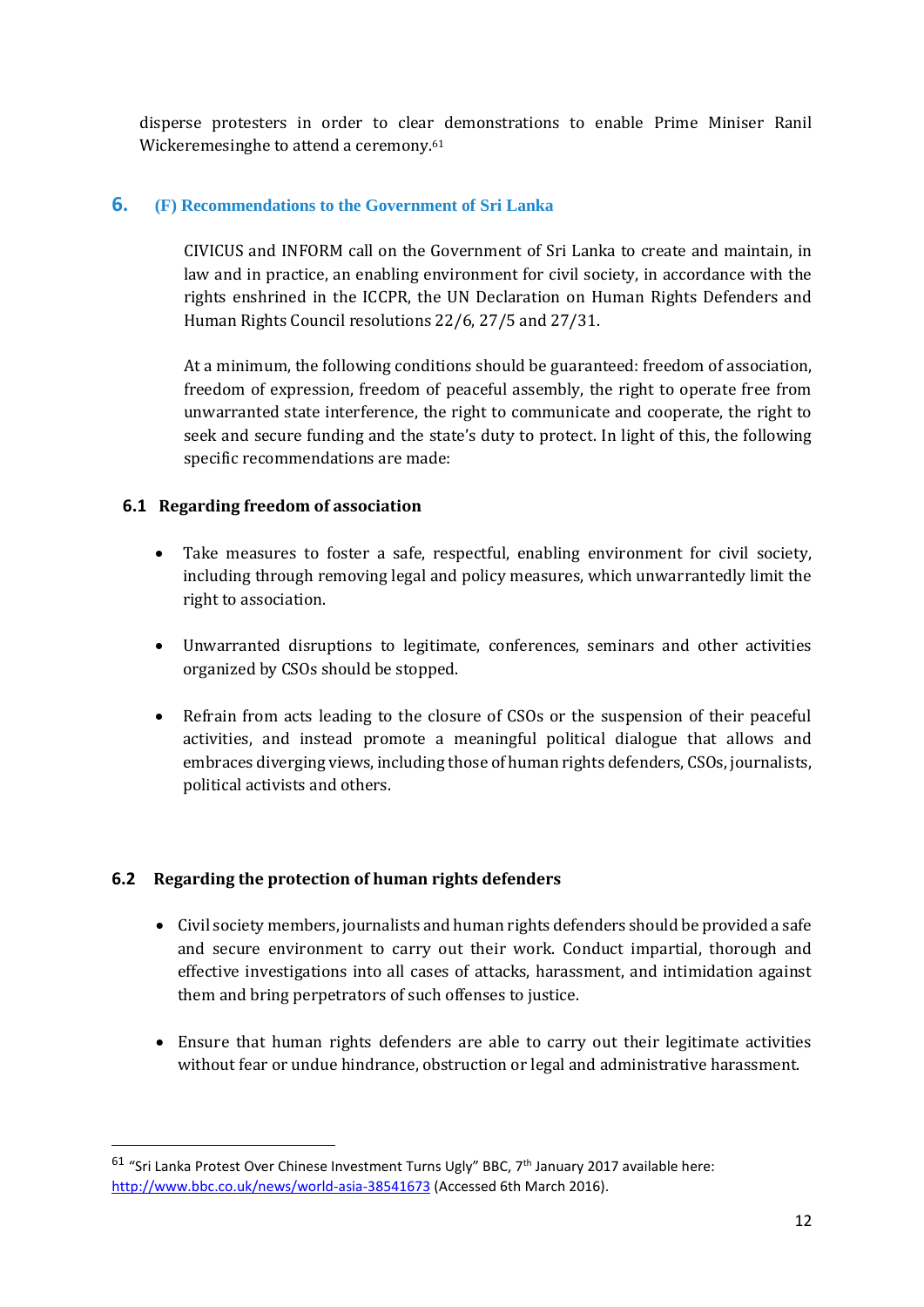disperse protesters in order to clear demonstrations to enable Prime Miniser Ranil Wickeremesinghe to attend a ceremony.<sup>61</sup>

#### **6. (F) Recommendations to the Government of Sri Lanka**

CIVICUS and INFORM call on the Government of Sri Lanka to create and maintain, in law and in practice, an enabling environment for civil society, in accordance with the rights enshrined in the ICCPR, the UN Declaration on Human Rights Defenders and Human Rights Council resolutions 22/6, 27/5 and 27/31.

At a minimum, the following conditions should be guaranteed: freedom of association, freedom of expression, freedom of peaceful assembly, the right to operate free from unwarranted state interference, the right to communicate and cooperate, the right to seek and secure funding and the state's duty to protect. In light of this, the following specific recommendations are made:

#### **6.1 Regarding freedom of association**

- Take measures to foster a safe, respectful, enabling environment for civil society, including through removing legal and policy measures, which unwarrantedly limit the right to association.
- Unwarranted disruptions to legitimate, conferences, seminars and other activities organized by CSOs should be stopped.
- Refrain from acts leading to the closure of CSOs or the suspension of their peaceful activities, and instead promote a meaningful political dialogue that allows and embraces diverging views, including those of human rights defenders, CSOs, journalists, political activists and others.

#### **6.2 Regarding the protection of human rights defenders**

**.** 

- Civil society members, journalists and human rights defenders should be provided a safe and secure environment to carry out their work. Conduct impartial, thorough and effective investigations into all cases of attacks, harassment, and intimidation against them and bring perpetrators of such offenses to justice.
- Ensure that human rights defenders are able to carry out their legitimate activities without fear or undue hindrance, obstruction or legal and administrative harassment.

 $61$  "Sri Lanka Protest Over Chinese Investment Turns Ugly" BBC,  $7<sup>th</sup>$  January 2017 available here: <http://www.bbc.co.uk/news/world-asia-38541673> (Accessed 6th March 2016).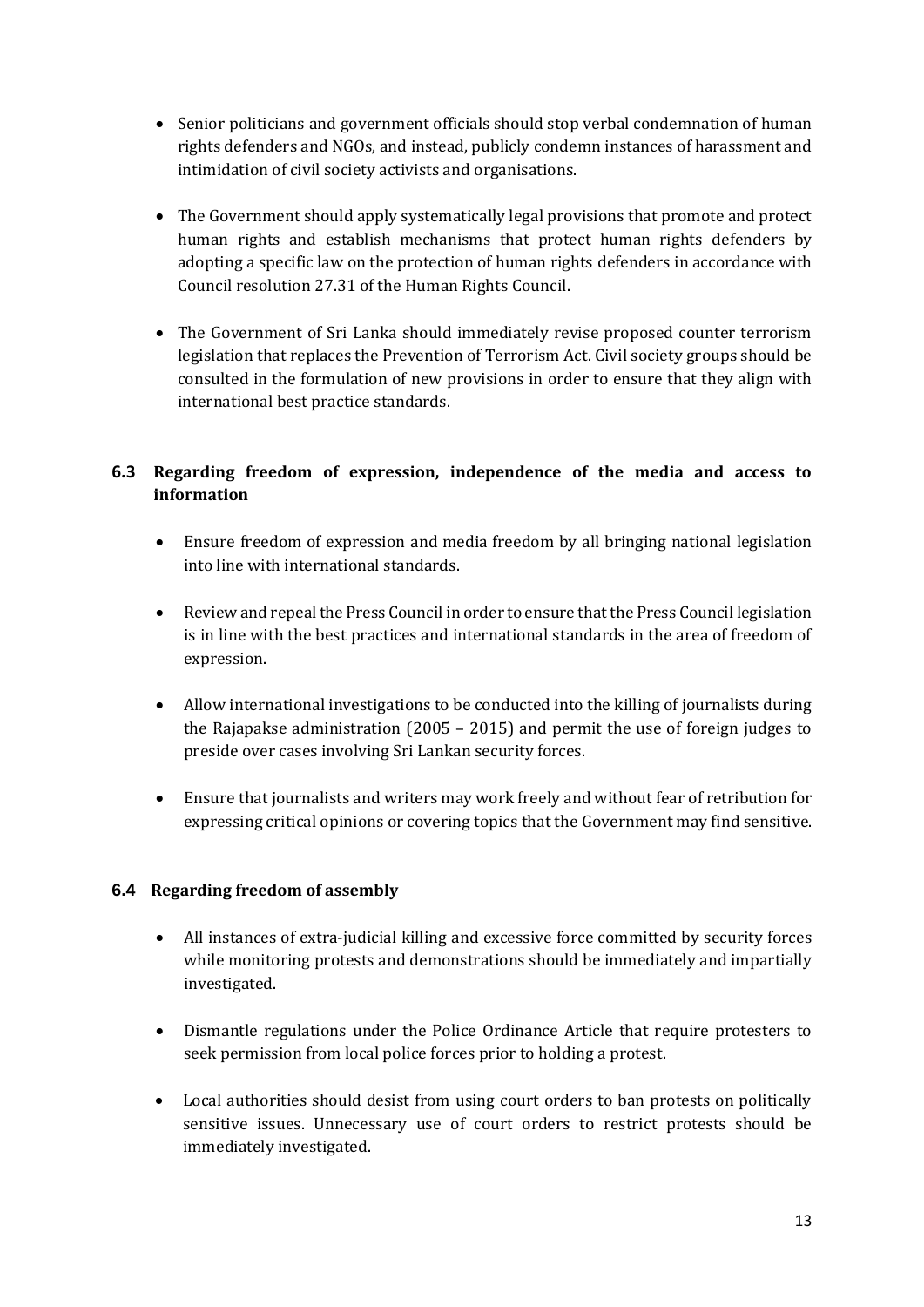- Senior politicians and government officials should stop verbal condemnation of human rights defenders and NGOs, and instead, publicly condemn instances of harassment and intimidation of civil society activists and organisations.
- The Government should apply systematically legal provisions that promote and protect human rights and establish mechanisms that protect human rights defenders by adopting a specific law on the protection of human rights defenders in accordance with Council resolution 27.31 of the Human Rights Council.
- The Government of Sri Lanka should immediately revise proposed counter terrorism legislation that replaces the Prevention of Terrorism Act. Civil society groups should be consulted in the formulation of new provisions in order to ensure that they align with international best practice standards.

## **6.3 Regarding freedom of expression, independence of the media and access to information**

- Ensure freedom of expression and media freedom by all bringing national legislation into line with international standards.
- Review and repeal the Press Council in order to ensure that the Press Council legislation is in line with the best practices and international standards in the area of freedom of expression.
- Allow international investigations to be conducted into the killing of journalists during the Rajapakse administration (2005 – 2015) and permit the use of foreign judges to preside over cases involving Sri Lankan security forces.
- Ensure that journalists and writers may work freely and without fear of retribution for expressing critical opinions or covering topics that the Government may find sensitive.

#### **6.4 Regarding freedom of assembly**

- All instances of extra-judicial killing and excessive force committed by security forces while monitoring protests and demonstrations should be immediately and impartially investigated.
- Dismantle regulations under the Police Ordinance Article that require protesters to seek permission from local police forces prior to holding a protest.
- Local authorities should desist from using court orders to ban protests on politically sensitive issues. Unnecessary use of court orders to restrict protests should be immediately investigated.